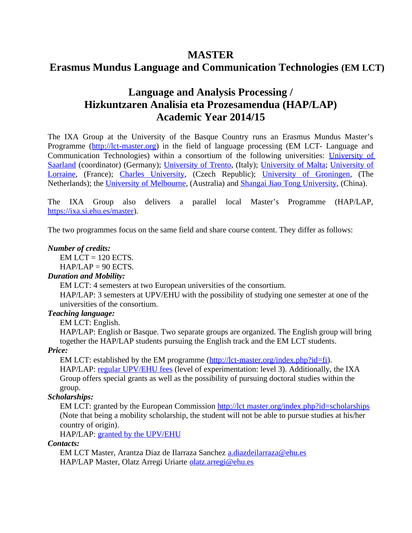## **MASTER**

# **Erasmus Mundus Language and Communication Technologies (EM LCT)**

# **Language and Analysis Processing / Hizkuntzaren Analisia eta Prozesamendua (HAP/LAP) Academic Year 2014/15**

The IXA Group at the University of the Basque Country runs an Erasmus Mundus Master's Programme [\(http://lct-master.org\)](http://lct-master.org/) in the field of language processing (EM LCT- Language and Communication Technologies) within a consortium of the following universities: [University of](http://www.uni-saarland.de/) [Saarland](http://www.uni-saarland.de/) (coordinator) (Germany); [University of Trento,](http://www.unitn.it/) (Italy); [University of Malta;](http://www.um.edu.mt/) [University of](http://www.univ-nancy2.fr/index.html?lang=EN) [Lorraine,](http://www.univ-nancy2.fr/index.html?lang=EN) (France); [Charles University,](http://www.cuni.cz/) (Czech Republic); [University of Groningen,](http://www.rug.nl/) (The Netherlands); the [University of Melbourne,](http://www.unimelb.edu.au/) (Australia) and [Shangai Jiao Tong University,](http://lt-lab.sjtu.edu.cn/wordpress_en) (China).

The IXA Group also delivers a parallel local Master's Programme (HAP/LAP, [https://ixa.si.ehu.es/master\)](https://ixa.si.ehu.es/master).

The two programmes focus on the same field and share course content. They differ as follows:

#### *Number of credits:*

 $EM$  LCT = 120 ECTS.  $HAP/LAP = 90$  ECTS.

#### *Duration and Mobility:*

EM LCT: 4 semesters at two European universities of the consortium.

HAP/LAP: 3 semesters at UPV/EHU with the possibility of studying one semester at one of the universities of the consortium.

#### *Teaching language:*

EM LCT: English.

HAP/LAP: English or Basque. Two separate groups are organized. The English group will bring together the HAP/LAP students pursuing the English track and the EM LCT students.

#### *Price:*

EM LCT: established by the EM programme [\(http://lct-master.org/index.php?id=fi\)](http://lct-master.org/index.php?id=fi). HAP/LAP: [regular UPV/EHU fees](http://www.ikasketak.ehu.es/p266-shmastct/es/contenidos/informacion/precios_masters/es_prec_mas/precios_masters.html) (level of experimentation: level 3). Additionally, the IXA Group offers special grants as well as the possibility of pursuing doctoral studies within the group.

## *Scholarships:*

EM LCT: granted by the European Commission [http://lct master.org/index.php?id=scholarships](http://lct-master.org/index.php?id=scholarships) (Note that being a mobility scholarship, the student will not be able to pursue studies at his/her country of origin).

HAP/LAP: [granted by the UPV/EHU](http://www.mde.ehu.es/p311-content/eu/contenidos/informacion/convocatorias_doc_vregp/eu_convocat/convocatorias.html)

## *Contacts:*

EM LCT Master, Arantza Diaz de Ilarraza Sanchez [a.diazdeilarraza@ehu.es](mailto:a.diazdeilarraza@ehu.es) HAP/LAP Master, Olatz Arregi Uriarte [olatz.arregi@ehu.es](mailto:olatz.arregi@ehu.es)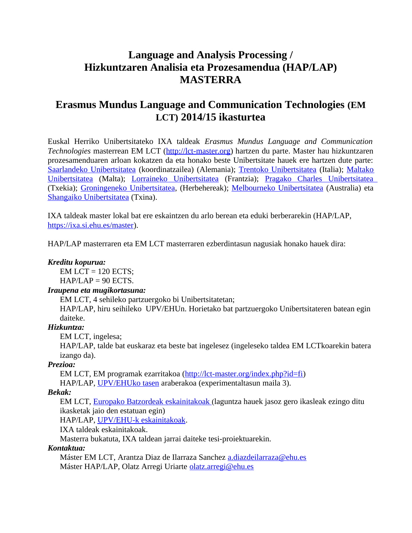# **Language and Analysis Processing / Hizkuntzaren Analisia eta Prozesamendua (HAP/LAP) MASTERRA**

# **Erasmus Mundus Language and Communication Technologies (EM LCT) 2014/15 ikasturtea**

Euskal Herriko Unibertsitateko IXA taldeak *Erasmus Mundus Language and Communication Technologies* masterrean EM LCT [\(http://lct-master.org\)](http://lct-master.org/) hartzen du parte. Master hau hizkuntzaren prozesamenduaren arloan kokatzen da eta honako beste Unibertsitate hauek ere hartzen dute parte: Saarlandeko Unibertsitatea (koordinatzailea) (Alemania); Trentoko Unibertsitatea (Italia); Maltako Unibertsitatea (Malta); Lorraineko Unibertsitatea (Frantzia); [Pragako Charles Unibertsitatea](http://www.cuni.cz/) (Txekia); Groningeneko Unibertsitatea, (Herbehereak); Melbourneko Unibertsitatea (Australia) eta Shangaiko Unibertsitatea (Txina).

IXA taldeak master lokal bat ere eskaintzen du arlo berean eta eduki berberarekin (HAP/LAP, [https://ixa.si.ehu.es/master\)](https://ixa.si.ehu.es/master).

HAP/LAP masterraren eta EM LCT masterraren ezberdintasun nagusiak honako hauek dira:

#### *Kreditu kopurua:*

 $EM$  LCT = 120 ECTS:

 $HAP/LAP = 90$  ECTS.

## *Iraupena eta mugikortasuna:*

EM LCT, 4 sehileko partzuergoko bi Unibertsitatetan;

HAP/LAP, hiru seihileko UPV/EHUn. Horietako bat partzuergoko Unibertsitateren batean egin daiteke.

## *Hizkuntza:*

EM LCT, ingelesa;

HAP/LAP, talde bat euskaraz eta beste bat ingelesez (ingeleseko taldea EM LCTkoarekin batera izango da).

## *Prezioa:*

EM LCT, EM programak ezarritakoa [\(http://lct-master.org/index.php?id=fi\)](http://lct-master.org/index.php?id=fi) HAP/LAP, [UPV/EHU k](http://www.ikasketak.ehu.es/p266-shmastct/es/contenidos/informacion/precios_masters/es_prec_mas/precios_masters.html)o tasen araberakoa (experimentaltasun maila 3).

## *Bekak:*

EM LCT, [Europako Batzordeak eskainitakoak](file:///home/jipsagak/siuc04koa/public_html/EMLCT_HAP_LAP/paperak) (laguntza hauek jasoz gero ikasleak ezingo ditu ikasketak jaio den estatuan egin)

HAP/LAP, UPV/EHU-k eskainitakoak.

IXA taldeak eskainitakoak.

Masterra bukatuta, IXA taldean jarrai daiteke tesi-proiektuarekin.

## *Kontaktua:*

Máster EM LCT, Arantza Diaz de Ilarraza Sanchez [a.diazdeilarraza@ehu.es](mailto:a.diazdeilarraza@ehu.es) Máster HAP/LAP, Olatz Arregi Uriarte [olatz.arregi@ehu.es](mailto:olatz.arregi@ehu.es)